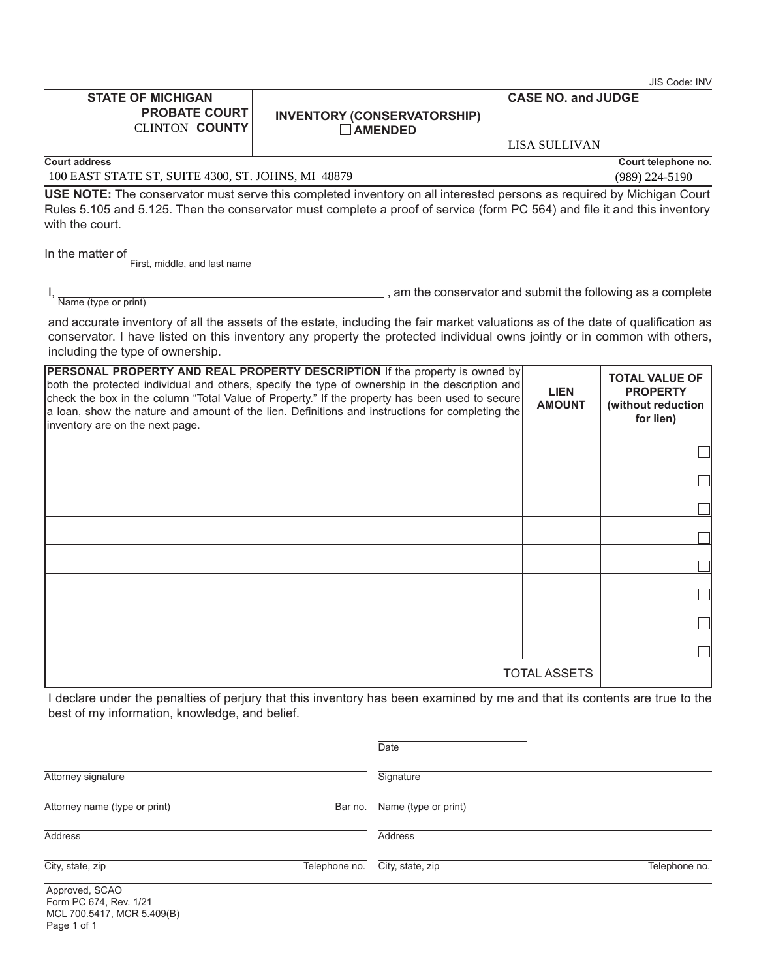|                                                                            |                                                                                                                                                                                                                                                                                                                                                                                    |                              | JIS Code: INV                                                               |
|----------------------------------------------------------------------------|------------------------------------------------------------------------------------------------------------------------------------------------------------------------------------------------------------------------------------------------------------------------------------------------------------------------------------------------------------------------------------|------------------------------|-----------------------------------------------------------------------------|
| <b>STATE OF MICHIGAN</b><br><b>PROBATE COURT</b><br><b>CLINTON COUNTY</b>  | <b>INVENTORY (CONSERVATORSHIP)</b><br><b>AMENDED</b>                                                                                                                                                                                                                                                                                                                               | <b>CASE NO. and JUDGE</b>    |                                                                             |
|                                                                            |                                                                                                                                                                                                                                                                                                                                                                                    | <b>LISA SULLIVAN</b>         |                                                                             |
| <b>Court address</b><br>100 EAST STATE ST, SUITE 4300, ST. JOHNS, MI 48879 |                                                                                                                                                                                                                                                                                                                                                                                    |                              | Court telephone no.<br>(989) 224-5190                                       |
| with the court.                                                            | USE NOTE: The conservator must serve this completed inventory on all interested persons as required by Michigan Court<br>Rules 5.105 and 5.125. Then the conservator must complete a proof of service (form PC 564) and file it and this inventory                                                                                                                                 |                              |                                                                             |
| In the matter of<br>First, middle, and last name                           |                                                                                                                                                                                                                                                                                                                                                                                    |                              |                                                                             |
| Name (type or print)                                                       | am the conservator and submit the following as a complete                                                                                                                                                                                                                                                                                                                          |                              |                                                                             |
| including the type of ownership.                                           | and accurate inventory of all the assets of the estate, including the fair market valuations as of the date of qualification as<br>conservator. I have listed on this inventory any property the protected individual owns jointly or in common with others,                                                                                                                       |                              |                                                                             |
| inventory are on the next page.                                            | PERSONAL PROPERTY AND REAL PROPERTY DESCRIPTION If the property is owned by<br>both the protected individual and others, specify the type of ownership in the description and<br>check the box in the column "Total Value of Property." If the property has been used to secure<br>a loan, show the nature and amount of the lien. Definitions and instructions for completing the | <b>LIEN</b><br><b>AMOUNT</b> | <b>TOTAL VALUE OF</b><br><b>PROPERTY</b><br>(without reduction<br>for lien) |
|                                                                            |                                                                                                                                                                                                                                                                                                                                                                                    |                              |                                                                             |
|                                                                            |                                                                                                                                                                                                                                                                                                                                                                                    |                              |                                                                             |
|                                                                            |                                                                                                                                                                                                                                                                                                                                                                                    |                              |                                                                             |
|                                                                            |                                                                                                                                                                                                                                                                                                                                                                                    |                              |                                                                             |
|                                                                            |                                                                                                                                                                                                                                                                                                                                                                                    |                              |                                                                             |
|                                                                            |                                                                                                                                                                                                                                                                                                                                                                                    |                              |                                                                             |
|                                                                            |                                                                                                                                                                                                                                                                                                                                                                                    |                              |                                                                             |
|                                                                            |                                                                                                                                                                                                                                                                                                                                                                                    |                              |                                                                             |
|                                                                            | I declare under the penalties of perium that this inventory has been examined by me and that its contents are true to the                                                                                                                                                                                                                                                          | <b>TOTAL ASSETS</b>          |                                                                             |

I declare under the penalties of perjury that this inventory has been examined by me and that its contents are true to the best of my information, knowledge, and belief.

|                                          | Date                            |               |
|------------------------------------------|---------------------------------|---------------|
| Attorney signature                       | Signature                       |               |
| Attorney name (type or print)            | Name (type or print)<br>Bar no. |               |
| Address                                  | Address                         |               |
| City, state, zip<br>Telephone no.        | City, state, zip                | Telephone no. |
| Approved, SCAO<br>Form PC 674, Rev. 1/21 |                                 |               |